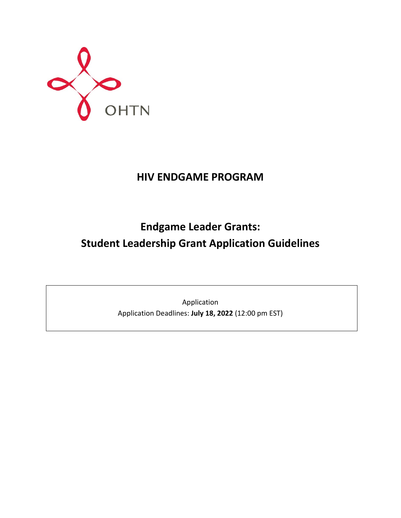

# **HIV ENDGAME PROGRAM**

# **Endgame Leader Grants: Student Leadership Grant Application Guidelines**

Application Application Deadlines: **July 18, 2022** (12:00 pm EST)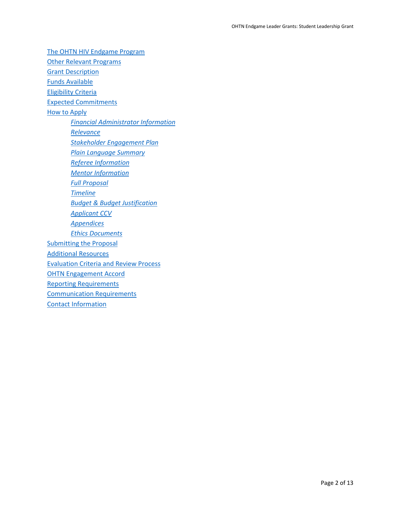[The OHTN HIV Endgame Program](#page-2-0) [Other Relevant Programs](#page-3-0) Grant [Description](#page-3-1) [Funds Available](#page-4-0) [Eligibility Criteria](#page-4-1) [Expected Commitments](#page-5-0) [How to Apply](#page-5-1) *[Financial Administrator Information](#page-6-0) [Relevance](#page-6-1) [Stakeholder Engagement Plan](#page-6-2) [Plain Language Summary](#page-7-0) [Referee Information](#page-7-1) [Mentor Information](#page-6-3) [Full Proposal](#page-7-2) [Timeline](#page-7-3) [Budget & Budget Justification](#page-8-0) [Applicant](#page-8-1) CCV [Appendices](#page-8-2) [Ethics Documents](#page-8-3)* [Submitting the Proposal](#page-8-4) [Additional Resources](#page-9-0) [Evaluation Criteria and Review Process](#page-10-0) [OHTN Engagement Accord](#page-11-0) [Reporting Requirements](#page-11-1) [Communication Requirements](#page-12-0) [Contact Information](#page-12-1)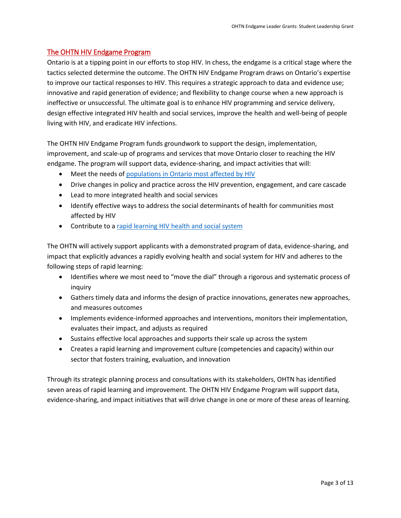# <span id="page-2-0"></span>The OHTN HIV Endgame Program

Ontario is at a tipping point in our efforts to stop HIV. In chess, the endgame is a critical stage where the tactics selected determine the outcome. The OHTN HIV Endgame Program draws on Ontario's expertise to improve our tactical responses to HIV. This requires a strategic approach to data and evidence use; innovative and rapid generation of evidence; and flexibility to change course when a new approach is ineffective or unsuccessful. The ultimate goal is to enhance HIV programming and service delivery, design effective integrated HIV health and social services, improve the health and well-being of people living with HIV, and eradicate HIV infections.

The OHTN HIV Endgame Program funds groundwork to support the design, implementation, improvement, and scale-up of programs and services that move Ontario closer to reaching the HIV endgame. The program will support data, evidence-sharing, and impact activities that will:

- Meet the needs of [populations in Ontario most affected by HIV](#page-3-2)
- Drive changes in policy and practice across the HIV prevention, engagement, and care cascade
- Lead to more integrated health and social services
- Identify effective ways to address the social determinants of health for communities most affected by HIV
- Contribute to [a rapid learning HIV health and social system](http://www.ohtn.on.ca/about/rapid-learning/)

The OHTN will actively support applicants with a demonstrated program of data, evidence-sharing, and impact that explicitly advances a rapidly evolving health and social system for HIV and adheres to the following steps of rapid learning:

- Identifies where we most need to "move the dial" through a rigorous and systematic process of inquiry
- Gathers timely data and informs the design of practice innovations, generates new approaches, and measures outcomes
- Implements evidence-informed approaches and interventions, monitors their implementation, evaluates their impact, and adjusts as required
- Sustains effective local approaches and supports their scale up across the system
- Creates a rapid learning and improvement culture (competencies and capacity) within our sector that fosters training, evaluation, and innovation

Through its strategic planning process and consultations with its stakeholders, OHTN has identified seven areas of rapid learning and improvement. The OHTN HIV Endgame Program will support data, evidence-sharing, and impact initiatives that will drive change in one or more of these areas of learning.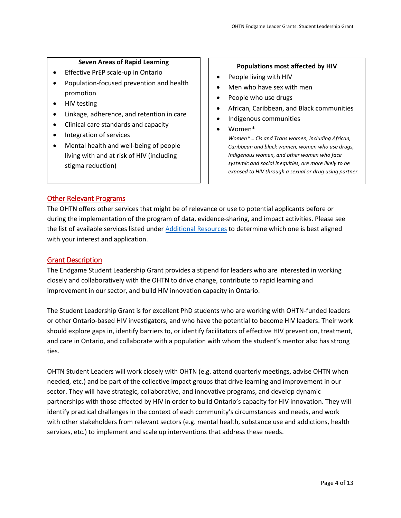#### **Seven Areas of Rapid Learning**

- <span id="page-3-3"></span>• Effective PrEP scale-up in Ontario
- Population-focused prevention and health promotion
- HIV testing
- Linkage, adherence, and retention in care
- Clinical care standards and capacity
- Integration of services
- Mental health and well-being of people living with and at risk of HIV (including stigma reduction)

# **Populations most affected by HIV**

- <span id="page-3-2"></span>• People living with HIV
- Men who have sex with men
- People who use drugs
- African, Caribbean, and Black communities
- Indigenous communities
- Women\*

*Women\* = Cis and Trans women, including African, Caribbean and black women, women who use drugs, Indigenous women, and other women who face systemic and social inequities, are more likely to be exposed to HIV through a sexual or drug using partner.*

# <span id="page-3-0"></span>Other Relevant Programs

The OHTN offers other services that might be of relevance or use to potential applicants before or during the implementation of the program of data, evidence-sharing, and impact activities. Please see the list of available services listed unde[r Additional Resources](#page-9-0) to determine which one is best aligned with your interest and application.

# <span id="page-3-1"></span>Grant Description

The Endgame Student Leadership Grant provides a stipend for leaders who are interested in working closely and collaboratively with the OHTN to drive change, contribute to rapid learning and improvement in our sector, and build HIV innovation capacity in Ontario.

The Student Leadership Grant is for excellent PhD students who are working with OHTN-funded leaders or other Ontario-based HIV investigators, and who have the potential to become HIV leaders. Their work should explore gaps in, identify barriers to, or identify facilitators of effective HIV prevention, treatment, and care in Ontario, and collaborate with a population with whom the student's mentor also has strong ties.

OHTN Student Leaders will work closely with OHTN (e.g. attend quarterly meetings, advise OHTN when needed, etc.) and be part of the collective impact groups that drive learning and improvement in our sector. They will have strategic, collaborative, and innovative programs, and develop dynamic partnerships with those affected by HIV in order to build Ontario's capacity for HIV innovation. They will identify practical challenges in the context of each community's circumstances and needs, and work with other stakeholders from relevant sectors (e.g. mental health, substance use and addictions, health services, etc.) to implement and scale up interventions that address these needs.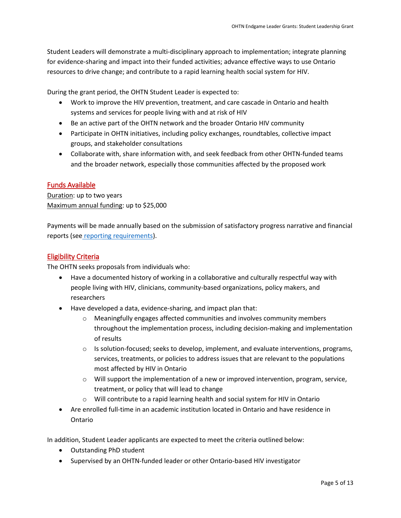Student Leaders will demonstrate a multi-disciplinary approach to implementation; integrate planning for evidence-sharing and impact into their funded activities; advance effective ways to use Ontario resources to drive change; and contribute to a rapid learning health social system for HIV.

During the grant period, the OHTN Student Leader is expected to:

- Work to improve the HIV prevention, treatment, and care cascade in Ontario and health systems and services for people living with and at risk of HIV
- Be an active part of the OHTN network and the broader Ontario HIV community
- Participate in OHTN initiatives, including policy exchanges, roundtables, collective impact groups, and stakeholder consultations
- Collaborate with, share information with, and seek feedback from other OHTN-funded teams and the broader network, especially those communities affected by the proposed work

# <span id="page-4-0"></span>Funds Available

Duration: up to two years Maximum annual funding: up to \$25,000

Payments will be made annually based on the submission of satisfactory progress narrative and financial reports (see [reporting requirements\)](#page-11-1).

# <span id="page-4-1"></span>Eligibility Criteria

The OHTN seeks proposals from individuals who:

- Have a documented history of working in a collaborative and culturally respectful way with people living with HIV, clinicians, community-based organizations, policy makers, and researchers
- Have developed a data, evidence-sharing, and impact plan that:
	- $\circ$  Meaningfully engages affected communities and involves community members throughout the implementation process, including decision-making and implementation of results
	- $\circ$  Is solution-focused; seeks to develop, implement, and evaluate interventions, programs, services, treatments, or policies to address issues that are relevant to the populations most affected by HIV in Ontario
	- $\circ$  Will support the implementation of a new or improved intervention, program, service, treatment, or policy that will lead to change
	- o Will contribute to a rapid learning health and social system for HIV in Ontario
- Are enrolled full-time in an academic institution located in Ontario and have residence in Ontario

In addition, Student Leader applicants are expected to meet the criteria outlined below:

- Outstanding PhD student
- Supervised by an OHTN-funded leader or other Ontario-based HIV investigator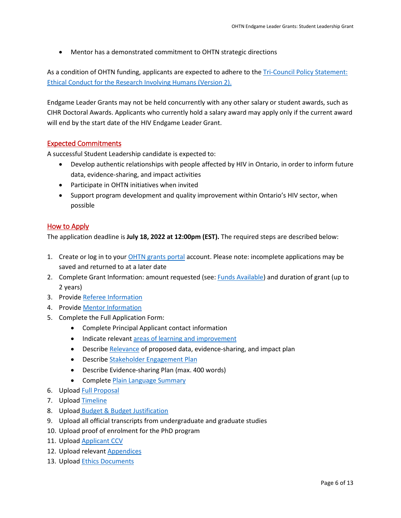• Mentor has a demonstrated commitment to OHTN strategic directions

As a condition of OHTN funding, applicants are expected to adhere to the [Tri-Council Policy Statement:](http://www.pre.ethics.gc.ca/eng/policy-politique_tcps2-eptc2_2018.html)  [Ethical Conduct for the Research Involving Humans \(Version 2\).](http://www.pre.ethics.gc.ca/eng/policy-politique_tcps2-eptc2_2018.html)

Endgame Leader Grants may not be held concurrently with any other salary or student awards, such as CIHR Doctoral Awards. Applicants who currently hold a salary award may apply only if the current award will end by the start date of the HIV Endgame Leader Grant.

# <span id="page-5-0"></span>Expected Commitments

A successful Student Leadership candidate is expected to:

- Develop authentic relationships with people affected by HIV in Ontario, in order to inform future data, evidence-sharing, and impact activities
- Participate in OHTN initiatives when invited
- Support program development and quality improvement within Ontario's HIV sector, when possible

# <span id="page-5-1"></span>How to Apply

The application deadline is **July 18, 2022 at 12:00pm (EST).** The required steps are described below:

- 1. Create or log in to your *OHTN grants portal* account. Please note: incomplete applications may be saved and returned to at a later date
- 2. Complete Grant Information: amount requested (see: [Funds Available\)](#page-4-0) and duration of grant (up to 2 years)
- 3. Provid[e Referee Information](#page-6-4)
- 4. Provid[e Mentor Information](#page-6-3)
- 5. Complete the Full Application Form:
	- Complete Principal Applicant contact information
	- Indicate relevant [areas of learning and improvement](#page-3-3)
	- Describe [Relevance](#page-6-1) of proposed data, evidence-sharing, and impact plan
	- Describe [Stakeholder Engagement Plan](#page-6-2)
	- Describe Evidence-sharing Plan (max. 400 words)
	- Complete [Plain Language Summary](#page-7-0)
- 6. Uploa[d Full Proposal](#page-7-2)
- 7. Uploa[d Timeline](#page-7-3)
- 8. Upload [Budget & Budget Justification](#page-8-0)
- 9. Upload all official transcripts from undergraduate and graduate studies
- 10. Upload proof of enrolment for the PhD program
- 11. Upload [Applicant](#page-8-1) CCV
- 12. Upload relevant [Appendices](#page-8-2)
- 13. Uploa[d Ethics Documents](#page-8-3)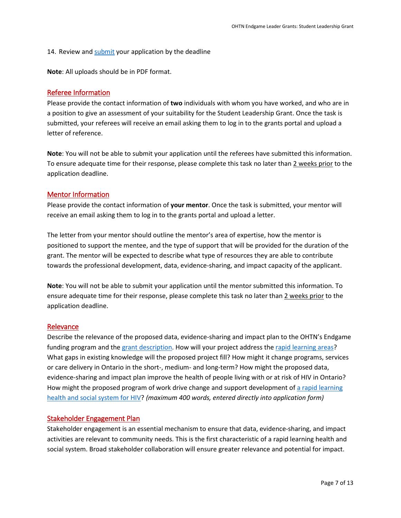#### 14. Review and [submit](#page-8-4) your application by the deadline

<span id="page-6-0"></span>**Note**: All uploads should be in PDF format.

# <span id="page-6-4"></span>Referee Information

Please provide the contact information of **two** individuals with whom you have worked, and who are in a position to give an assessment of your suitability for the Student Leadership Grant. Once the task is submitted, your referees will receive an email asking them to log in to the grants portal and upload a letter of reference.

**Note**: You will not be able to submit your application until the referees have submitted this information. To ensure adequate time for their response, please complete this task no later than 2 weeks prior to the application deadline.

# <span id="page-6-3"></span>Mentor Information

Please provide the contact information of **your mentor**. Once the task is submitted, your mentor will receive an email asking them to log in to the grants portal and upload a letter.

The letter from your mentor should outline the mentor's area of expertise, how the mentor is positioned to support the mentee, and the type of support that will be provided for the duration of the grant. The mentor will be expected to describe what type of resources they are able to contribute towards the professional development, data, evidence-sharing, and impact capacity of the applicant.

**Note**: You will not be able to submit your application until the mentor submitted this information. To ensure adequate time for their response, please complete this task no later than 2 weeks prior to the application deadline.

# <span id="page-6-1"></span>Relevance

Describe the relevance of the proposed data, evidence-sharing and impact plan to the OHTN's Endgame funding program and the grant [description.](#page-3-1) How will your project address the [rapid learning areas?](#page-3-3) What gaps in existing knowledge will the proposed project fill? How might it change programs, services or care delivery in Ontario in the short-, medium- and long-term? How might the proposed data, evidence-sharing and impact plan improve the health of people living with or at risk of HIV in Ontario? How might the proposed program of work drive change and support development of a rapid learning [health and social system for HIV?](http://www.ohtn.on.ca/about/rapid-learning/) *(maximum 400 words, entered directly into application form)*

# <span id="page-6-2"></span>Stakeholder Engagement Plan

Stakeholder engagement is an essential mechanism to ensure that data, evidence-sharing, and impact activities are relevant to community needs. This is the first characteristic of a rapid learning health and social system. Broad stakeholder collaboration will ensure greater relevance and potential for impact.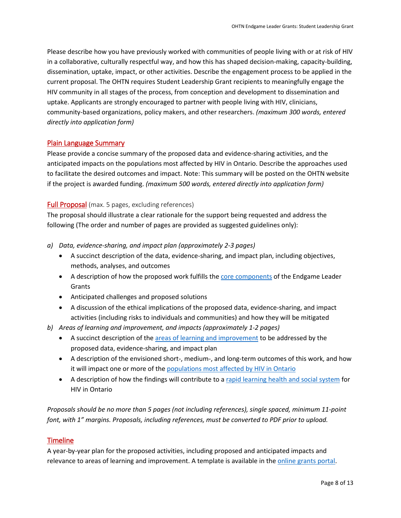Please describe how you have previously worked with communities of people living with or at risk of HIV in a collaborative, culturally respectful way, and how this has shaped decision-making, capacity-building, dissemination, uptake, impact, or other activities. Describe the engagement process to be applied in the current proposal. The OHTN requires Student Leadership Grant recipients to meaningfully engage the HIV community in all stages of the process, from conception and development to dissemination and uptake. Applicants are strongly encouraged to partner with people living with HIV, clinicians, community-based organizations, policy makers, and other researchers. *(maximum 300 words, entered directly into application form)*

#### <span id="page-7-0"></span>Plain Language Summary

Please provide a concise summary of the proposed data and evidence-sharing activities, and the anticipated impacts on the populations most affected by HIV in Ontario. Describe the approaches used to facilitate the desired outcomes and impact. Note: This summary will be posted on the OHTN website if the project is awarded funding. *(maximum 500 words, entered directly into application form)*

#### <span id="page-7-2"></span><span id="page-7-1"></span>Full Proposal (max. 5 pages, excluding references)

The proposal should illustrate a clear rationale for the support being requested and address the following (The order and number of pages are provided as suggested guidelines only):

- *a) Data, evidence-sharing, and impact plan (approximately 2-3 pages)*
	- A succinct description of the data, evidence-sharing, and impact plan, including objectives, methods, analyses, and outcomes
	- A description of how the proposed work fulfills the [core components](#page-3-1) of the Endgame Leader Grants
	- Anticipated challenges and proposed solutions
	- A discussion of the ethical implications of the proposed data, evidence-sharing, and impact activities (including risks to individuals and communities) and how they will be mitigated
- *b) Areas of learning and improvement, and impacts (approximately 1-2 pages)*
	- A succinct description of the [areas of learning and improvement](#page-3-3) to be addressed by the proposed data, evidence-sharing, and impact plan
	- A description of the envisioned short-, medium-, and long-term outcomes of this work, and how it will impact one or more of the [populations most affected by HIV in Ontario](#page-3-2)
	- A description of how the findings will contribute to a [rapid learning health and social system](http://www.ohtn.on.ca/about/rapid-learning/) for HIV in Ontario

*Proposals should be no more than 5 pages (not including references), single spaced, minimum 11-point font, with 1" margins. Proposals, including references, must be converted to PDF prior to upload.*

# <span id="page-7-3"></span>**Timeline**

A year-by-year plan for the proposed activities, including proposed and anticipated impacts and relevance to areas of learning and improvement. A template is available in the [online grants portal.](https://apply-ohtn-on.smapply.io/)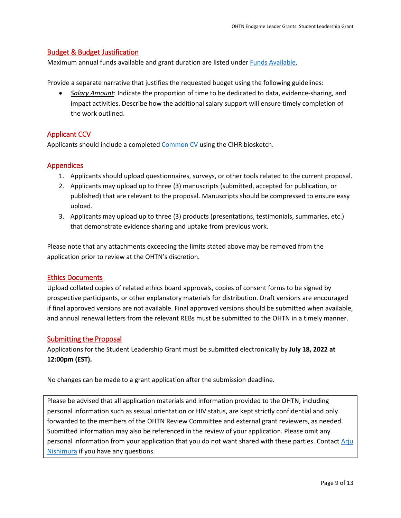# <span id="page-8-0"></span>Budget & Budget Justification

Maximum annual funds available and grant duration are listed unde[r Funds Available.](#page-4-0)

Provide a separate narrative that justifies the requested budget using the following guidelines:

• *Salary Amount*: Indicate the proportion of time to be dedicated to data, evidence-sharing, and impact activities. Describe how the additional salary support will ensure timely completion of the work outlined.

# <span id="page-8-1"></span>Applicant CCV

Applicants should include a completed [Common CV](https://ccv-cvc.ca/loginresearcher-eng.frm) using the CIHR biosketch.

# <span id="page-8-2"></span>Appendices

- 1. Applicants should upload questionnaires, surveys, or other tools related to the current proposal.
- 2. Applicants may upload up to three (3) manuscripts (submitted, accepted for publication, or published) that are relevant to the proposal. Manuscripts should be compressed to ensure easy upload.
- 3. Applicants may upload up to three (3) products (presentations, testimonials, summaries, etc.) that demonstrate evidence sharing and uptake from previous work.

Please note that any attachments exceeding the limits stated above may be removed from the application prior to review at the OHTN's discretion.

# <span id="page-8-3"></span>Ethics Documents

Upload collated copies of related ethics board approvals, copies of consent forms to be signed by prospective participants, or other explanatory materials for distribution. Draft versions are encouraged if final approved versions are not available. Final approved versions should be submitted when available, and annual renewal letters from the relevant REBs must be submitted to the OHTN in a timely manner.

# <span id="page-8-4"></span>Submitting the Proposal

Applications for the Student Leadership Grant must be submitted electronically by **July 18, 2022 at 12:00pm (EST).**

No changes can be made to a grant application after the submission deadline.

Please be advised that all application materials and information provided to the OHTN, including personal information such as sexual orientation or HIV status, are kept strictly confidential and only forwarded to the members of the OHTN Review Committee and external grant reviewers, as needed. Submitted information may also be referenced in the review of your application. Please omit any personal information from your application that you do not want shared with these parties. Contact [Arju](mailto:anishimura@ohtn.on.ca)  [Nishimura](mailto:anishimura@ohtn.on.ca) if you have any questions.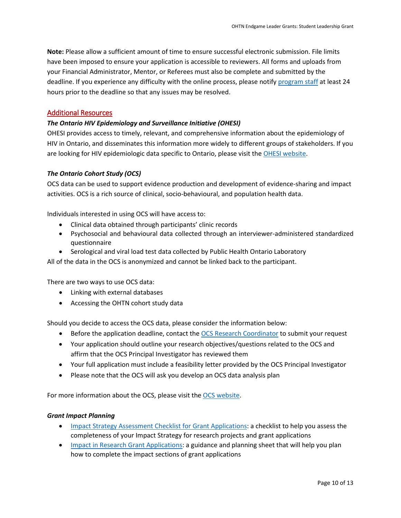**Note:** Please allow a sufficient amount of time to ensure successful electronic submission. File limits have been imposed to ensure your application is accessible to reviewers. All forms and uploads from your Financial Administrator, Mentor, or Referees must also be complete and submitted by the deadline. If you experience any difficulty with the online process, please notify [program staff](mailto:funding@ohtn.on.ca?subject=Technical%20Issue%20with%20OHTN%20Online%20Application%20Portal) at least 24 hours prior to the deadline so that any issues may be resolved.

#### <span id="page-9-0"></span>Additional Resources

#### *The Ontario HIV Epidemiology and Surveillance Initiative (OHESI)*

OHESI provides access to timely, relevant, and comprehensive information about the epidemiology of HIV in Ontario, and disseminates this information more widely to different groups of stakeholders. If you are looking for HIV epidemiologic data specific to Ontario, please visit the [OHESI website.](http://www.ohesi.ca/)

#### *The Ontario Cohort Study (OCS)*

OCS data can be used to support evidence production and development of evidence-sharing and impact activities. OCS is a rich source of clinical, socio-behavioural, and population health data.

Individuals interested in using OCS will have access to:

- Clinical data obtained through participants' clinic records
- Psychosocial and behavioural data collected through an interviewer-administered standardized questionnaire
- Serological and viral load test data collected by Public Health Ontario Laboratory

All of the data in the OCS is anonymized and cannot be linked back to the participant.

There are two ways to use OCS data:

- Linking with external databases
- Accessing the OHTN cohort study data

Should you decide to access the OCS data, please consider the information below:

- Before the application deadline, contact the [OCS Research Coordinator](mailto:ocsinfo@ohtn.on.ca) to submit your request
- Your application should outline your research objectives/questions related to the OCS and affirm that the OCS Principal Investigator has reviewed them
- Your full application must include a feasibility letter provided by the OCS Principal Investigator
- Please note that the OCS will ask you develop an OCS data analysis plan

For more information about the OCS, please visit the [OCS website.](http://ohtncohortstudy.ca/research/#accessing)

#### *Grant Impact Planning*

- [Impact Strategy Assessment Checklist for Grant Applications:](http://researchimpact.ca/wp-content/uploads/2018/08/Impact-Strategy-Assessment-Checklist.pdf) a checklist to help you assess the completeness of your Impact Strategy for research projects and grant applications
- [Impact in Research Grant Applications:](https://www.york.ac.uk/staff/research/research-impact/impact-in-grants/) a guidance and planning sheet that will help you plan how to complete the impact sections of grant applications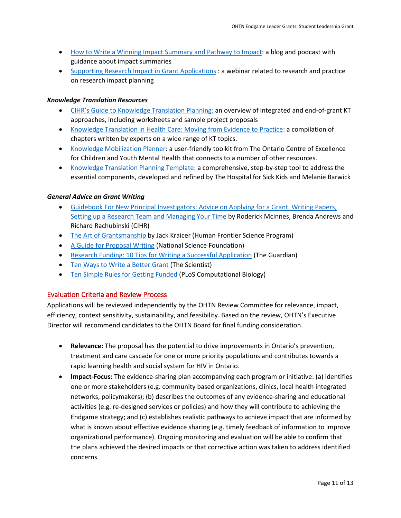- [How to Write a Winning Impact Summary and Pathway to Impact:](https://www.fasttrackimpact.com/post/2017/06/01/how-to-write-an-impact-summary-and-pathway-to-impact) a blog and podcast with guidance about impact summaries
- [Supporting Research Impact in Grant Applications](http://researchimpact.ca/supporting-research-impact-in-grant-applications/) : a webinar related to research and practice on research impact planning

#### *Knowledge Translation Resources*

- [CIHR's Guide to Knowledge Translation Planning:](http://www.cihr-irsc.gc.ca/e/45321.html) an overview of integrated and end-of-grant KT approaches, including worksheets and sample project proposals
- [Knowledge Translation in Health Care: Moving from Evidence to Practice:](http://www.cihr-irsc.gc.ca/e/40618.html) a compilation of chapters written by experts on a wide range of KT topics.
- [Knowledge Mobilization Planner:](http://www.kmbtoolkit.ca/planning) a user-friendly toolkit from The Ontario Centre of Excellence for Children and Youth Mental Health that connects to a number of other resources.
- [Knowledge Translation Planning Template:](http://www.sickkids.ca/Learning/AbouttheInstitute/Programs/Knowledge-Translation/Resources/Resources.html) a comprehensive, step-by-step tool to address the essential components, developed and refined by The Hospital for Sick Kids and Melanie Barwick

#### *General Advice on Grant Writing*

- [Guidebook For New Principal Investigators: Advice on Applying for a Grant, Writing Papers,](http://www.cihr-irsc.gc.ca/e/27491.html#1.5)  [Setting up a Research Team and Managing Your Time](http://www.cihr-irsc.gc.ca/e/27491.html#1.5) by Roderick McInnes, Brenda Andrews and Richard Rachubinski (CIHR)
- [The Art of Grantsmanship](http://www.hfsp.org/funding/art-grantsmanship) by Jack Kraicer (Human Frontier Science Program)
- [A Guide for Proposal Writing](http://www.nsf.gov/pubs/1998/nsf9891/nsf9891.htm) (National Science Foundation)
- [Research Funding: 10 Tips for Writing a Successful Application](http://www.theguardian.com/higher-education-network/blog/2013/apr/19/tips-successful-research-grant-funding?CMP=twt_gu) (The Guardian)
- [Ten Ways to Write a Better Grant](http://www.the-scientist.com/?articles.view/articleNo/24622/title/Ten-Ways-to-Write-a-Better-Grant/) (The Scientist)
- [Ten Simple Rules for Getting Funded](http://journals.plos.org/ploscompbiol/article?id=10.1371/journal.pcbi.0020012) (PLoS Computational Biology)

# <span id="page-10-0"></span>Evaluation Criteria and Review Process

Applications will be reviewed independently by the OHTN Review Committee for relevance, impact, efficiency, context sensitivity, sustainability, and feasibility. Based on the review, OHTN's Executive Director will recommend candidates to the OHTN Board for final funding consideration.

- **Relevance:** The proposal has the potential to drive improvements in Ontario's prevention, treatment and care cascade for one or more priority populations and contributes towards a rapid learning health and social system for HIV in Ontario.
- **Impact-Focus:** The evidence-sharing plan accompanying each program or initiative: (a) identifies one or more stakeholders (e.g. community based organizations, clinics, local health integrated networks, policymakers); (b) describes the outcomes of any evidence-sharing and educational activities (e.g. re-designed services or policies) and how they will contribute to achieving the Endgame strategy; and (c) establishes realistic pathways to achieve impact that are informed by what is known about effective evidence sharing (e.g. timely feedback of information to improve organizational performance). Ongoing monitoring and evaluation will be able to confirm that the plans achieved the desired impacts or that corrective action was taken to address identified concerns.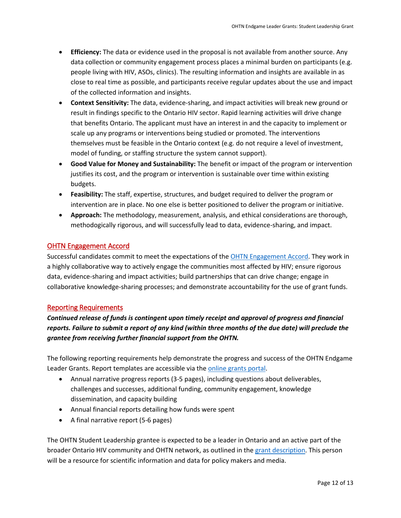- **Efficiency:** The data or evidence used in the proposal is not available from another source. Any data collection or community engagement process places a minimal burden on participants (e.g. people living with HIV, ASOs, clinics). The resulting information and insights are available in as close to real time as possible, and participants receive regular updates about the use and impact of the collected information and insights.
- **Context Sensitivity:** The data, evidence-sharing, and impact activities will break new ground or result in findings specific to the Ontario HIV sector. Rapid learning activities will drive change that benefits Ontario. The applicant must have an interest in and the capacity to implement or scale up any programs or interventions being studied or promoted. The interventions themselves must be feasible in the Ontario context (e.g. do not require a level of investment, model of funding, or staffing structure the system cannot support).
- **Good Value for Money and Sustainability:** The benefit or impact of the program or intervention justifies its cost, and the program or intervention is sustainable over time within existing budgets.
- **Feasibility:** The staff, expertise, structures, and budget required to deliver the program or intervention are in place. No one else is better positioned to deliver the program or initiative.
- **Approach:** The methodology, measurement, analysis, and ethical considerations are thorough, methodogically rigorous, and will successfully lead to data, evidence-sharing, and impact.

# <span id="page-11-0"></span>OHTN Engagement Accord

Successful candidates commit to meet the expectations of the [OHTN Engagement Accord.](http://www.ohtn.on.ca/wp-content/uploads/research-funding/OHTN-Engagement-Accord.pdf) They work in a highly collaborative way to actively engage the communities most affected by HIV; ensure rigorous data, evidence-sharing and impact activities; build partnerships that can drive change; engage in collaborative knowledge-sharing processes; and demonstrate accountability for the use of grant funds.

# <span id="page-11-1"></span>Reporting Requirements

*Continued release of funds is contingent upon timely receipt and approval of progress and financial reports. Failure to submit a report of any kind (within three months of the due date) will preclude the grantee from receiving further financial support from the OHTN.* 

The following reporting requirements help demonstrate the progress and success of the OHTN Endgame Leader Grants. Report templates are accessible via th[e online grants portal.](https://apply-ohtn-on.smapply.io/)

- Annual narrative progress reports (3-5 pages), including questions about deliverables, challenges and successes, additional funding, community engagement, knowledge dissemination, and capacity building
- Annual financial reports detailing how funds were spent
- A final narrative report (5-6 pages)

The OHTN Student Leadership grantee is expected to be a leader in Ontario and an active part of the broader Ontario HIV community and OHTN network, as outlined in the grant [description.](#page-3-1) This person will be a resource for scientific information and data for policy makers and media.